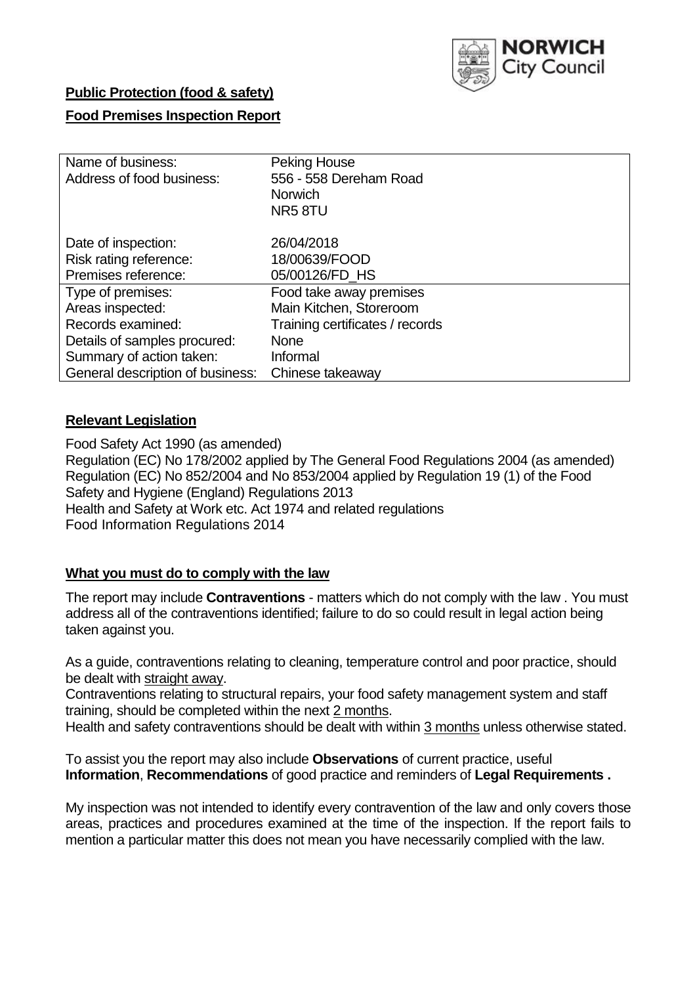

# **Public Protection (food & safety)**

# **Food Premises Inspection Report**

| Name of business:                | <b>Peking House</b>             |
|----------------------------------|---------------------------------|
| Address of food business:        | 556 - 558 Dereham Road          |
|                                  | <b>Norwich</b>                  |
|                                  | NR58TU                          |
| Date of inspection:              | 26/04/2018                      |
| Risk rating reference:           | 18/00639/FOOD                   |
| Premises reference:              | 05/00126/FD_HS                  |
| Type of premises:                | Food take away premises         |
| Areas inspected:                 | Main Kitchen, Storeroom         |
| Records examined:                | Training certificates / records |
| Details of samples procured:     | <b>None</b>                     |
| Summary of action taken:         | Informal                        |
| General description of business: | Chinese takeaway                |

## **Relevant Legislation**

Food Safety Act 1990 (as amended) Regulation (EC) No 178/2002 applied by The General Food Regulations 2004 (as amended) Regulation (EC) No 852/2004 and No 853/2004 applied by Regulation 19 (1) of the Food Safety and Hygiene (England) Regulations 2013 Health and Safety at Work etc. Act 1974 and related regulations Food Information Regulations 2014

# **What you must do to comply with the law**

The report may include **Contraventions** - matters which do not comply with the law . You must address all of the contraventions identified; failure to do so could result in legal action being taken against you.

As a guide, contraventions relating to cleaning, temperature control and poor practice, should be dealt with straight away.

Contraventions relating to structural repairs, your food safety management system and staff training, should be completed within the next 2 months.

Health and safety contraventions should be dealt with within 3 months unless otherwise stated.

To assist you the report may also include **Observations** of current practice, useful **Information**, **Recommendations** of good practice and reminders of **Legal Requirements .**

My inspection was not intended to identify every contravention of the law and only covers those areas, practices and procedures examined at the time of the inspection. If the report fails to mention a particular matter this does not mean you have necessarily complied with the law.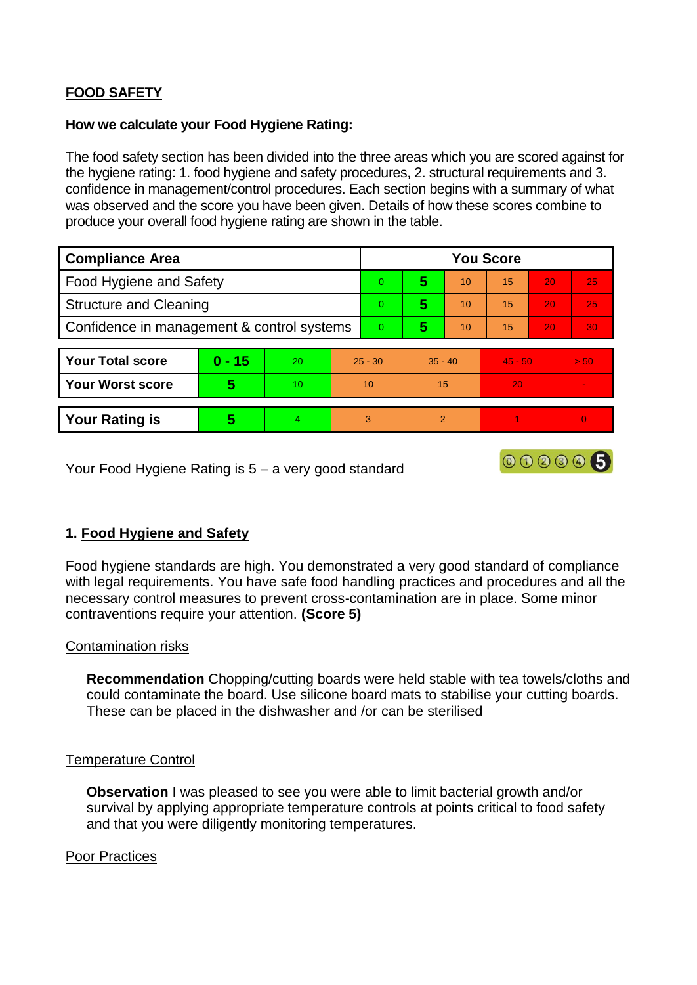# **FOOD SAFETY**

### **How we calculate your Food Hygiene Rating:**

The food safety section has been divided into the three areas which you are scored against for the hygiene rating: 1. food hygiene and safety procedures, 2. structural requirements and 3. confidence in management/control procedures. Each section begins with a summary of what was observed and the score you have been given. Details of how these scores combine to produce your overall food hygiene rating are shown in the table.

| <b>Compliance Area</b>                     |          |                  |           | <b>You Score</b> |               |          |           |                 |                |  |  |
|--------------------------------------------|----------|------------------|-----------|------------------|---------------|----------|-----------|-----------------|----------------|--|--|
| Food Hygiene and Safety                    |          |                  |           | $\Omega$         | 5             | 10       | 15        | 20              | 25             |  |  |
| <b>Structure and Cleaning</b>              |          |                  |           | $\Omega$         | 5             | 10       | 15        | 20              | 25             |  |  |
| Confidence in management & control systems |          |                  | $\Omega$  | 5                | 10            | 15<br>20 |           | 30 <sub>1</sub> |                |  |  |
|                                            |          |                  |           |                  |               |          |           |                 |                |  |  |
| <b>Your Total score</b>                    | $0 - 15$ | 20               | $25 - 30$ |                  | $35 - 40$     |          | $45 - 50$ |                 | > 50           |  |  |
| <b>Your Worst score</b>                    | 5        | 10 <sup>10</sup> | 10        |                  | 15            |          | 20        |                 |                |  |  |
|                                            |          |                  |           |                  |               |          |           |                 |                |  |  |
| <b>Your Rating is</b>                      | 5        | 4                |           | 3                | $\mathcal{P}$ |          |           |                 | $\overline{0}$ |  |  |

Your Food Hygiene Rating is 5 – a very good standard

# **1. Food Hygiene and Safety**

Food hygiene standards are high. You demonstrated a very good standard of compliance with legal requirements. You have safe food handling practices and procedures and all the necessary control measures to prevent cross-contamination are in place. Some minor contraventions require your attention. **(Score 5)**

000005

#### Contamination risks

**Recommendation** Chopping/cutting boards were held stable with tea towels/cloths and could contaminate the board. Use silicone board mats to stabilise your cutting boards. These can be placed in the dishwasher and /or can be sterilised

#### Temperature Control

**Observation** I was pleased to see you were able to limit bacterial growth and/or survival by applying appropriate temperature controls at points critical to food safety and that you were diligently monitoring temperatures.

## Poor Practices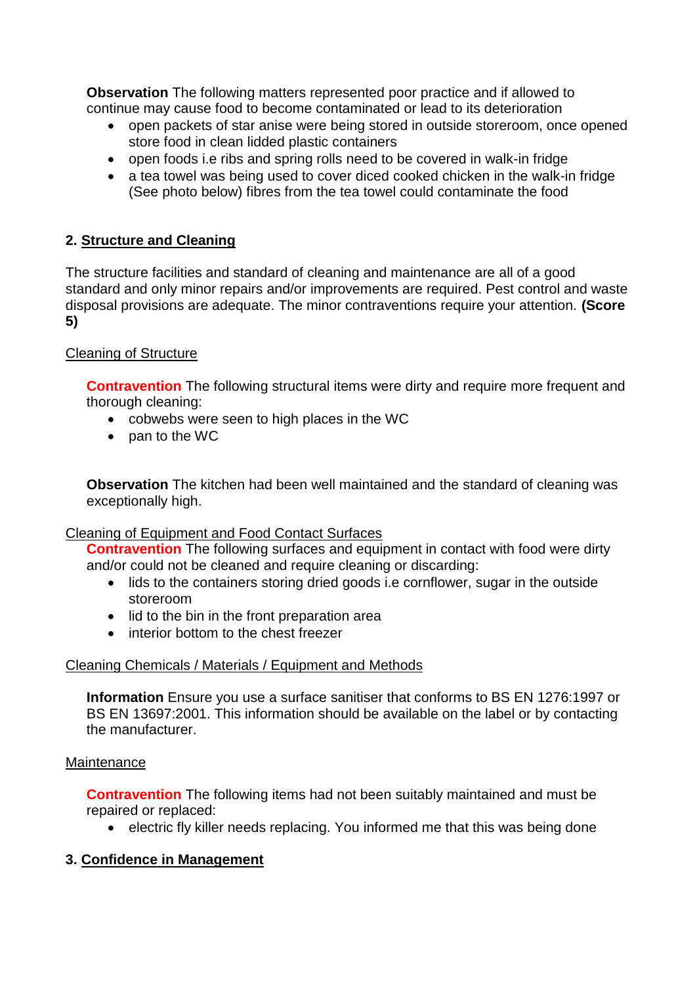**Observation** The following matters represented poor practice and if allowed to continue may cause food to become contaminated or lead to its deterioration

- open packets of star anise were being stored in outside storeroom, once opened store food in clean lidded plastic containers
- open foods i.e ribs and spring rolls need to be covered in walk-in fridge
- a tea towel was being used to cover diced cooked chicken in the walk-in fridge (See photo below) fibres from the tea towel could contaminate the food

# **2. Structure and Cleaning**

The structure facilities and standard of cleaning and maintenance are all of a good standard and only minor repairs and/or improvements are required. Pest control and waste disposal provisions are adequate. The minor contraventions require your attention. **(Score 5)**

# Cleaning of Structure

**Contravention** The following structural items were dirty and require more frequent and thorough cleaning:

- cobwebs were seen to high places in the WC
- pan to the WC

**Observation** The kitchen had been well maintained and the standard of cleaning was exceptionally high.

## Cleaning of Equipment and Food Contact Surfaces

**Contravention** The following surfaces and equipment in contact with food were dirty and/or could not be cleaned and require cleaning or discarding:

- lids to the containers storing dried goods i.e cornflower, sugar in the outside storeroom
- lid to the bin in the front preparation area
- interior bottom to the chest freezer

## Cleaning Chemicals / Materials / Equipment and Methods

**Information** Ensure you use a surface sanitiser that conforms to BS EN 1276:1997 or BS EN 13697:2001. This information should be available on the label or by contacting the manufacturer.

## **Maintenance**

**Contravention** The following items had not been suitably maintained and must be repaired or replaced:

• electric fly killer needs replacing. You informed me that this was being done

## **3. Confidence in Management**